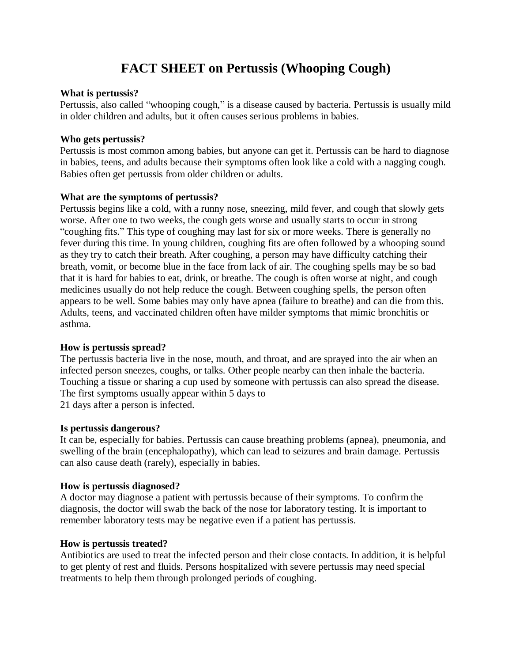# **FACT SHEET on Pertussis (Whooping Cough)**

## **What is pertussis?**

Pertussis, also called "whooping cough," is a disease caused by bacteria. Pertussis is usually mild in older children and adults, but it often causes serious problems in babies.

## **Who gets pertussis?**

Pertussis is most common among babies, but anyone can get it. Pertussis can be hard to diagnose in babies, teens, and adults because their symptoms often look like a cold with a nagging cough. Babies often get pertussis from older children or adults.

## **What are the symptoms of pertussis?**

Pertussis begins like a cold, with a runny nose, sneezing, mild fever, and cough that slowly gets worse. After one to two weeks, the cough gets worse and usually starts to occur in strong "coughing fits." This type of coughing may last for six or more weeks. There is generally no fever during this time. In young children, coughing fits are often followed by a whooping sound as they try to catch their breath. After coughing, a person may have difficulty catching their breath, vomit, or become blue in the face from lack of air. The coughing spells may be so bad that it is hard for babies to eat, drink, or breathe. The cough is often worse at night, and cough medicines usually do not help reduce the cough. Between coughing spells, the person often appears to be well. Some babies may only have apnea (failure to breathe) and can die from this. Adults, teens, and vaccinated children often have milder symptoms that mimic bronchitis or asthma.

## **How is pertussis spread?**

The pertussis bacteria live in the nose, mouth, and throat, and are sprayed into the air when an infected person sneezes, coughs, or talks. Other people nearby can then inhale the bacteria. Touching a tissue or sharing a cup used by someone with pertussis can also spread the disease. The first symptoms usually appear within 5 days to 21 days after a person is infected.

## **Is pertussis dangerous?**

It can be, especially for babies. Pertussis can cause breathing problems (apnea), pneumonia, and swelling of the brain (encephalopathy), which can lead to seizures and brain damage. Pertussis can also cause death (rarely), especially in babies.

# **How is pertussis diagnosed?**

A doctor may diagnose a patient with pertussis because of their symptoms. To confirm the diagnosis, the doctor will swab the back of the nose for laboratory testing. It is important to remember laboratory tests may be negative even if a patient has pertussis.

# **How is pertussis treated?**

Antibiotics are used to treat the infected person and their close contacts. In addition, it is helpful to get plenty of rest and fluids. Persons hospitalized with severe pertussis may need special treatments to help them through prolonged periods of coughing.